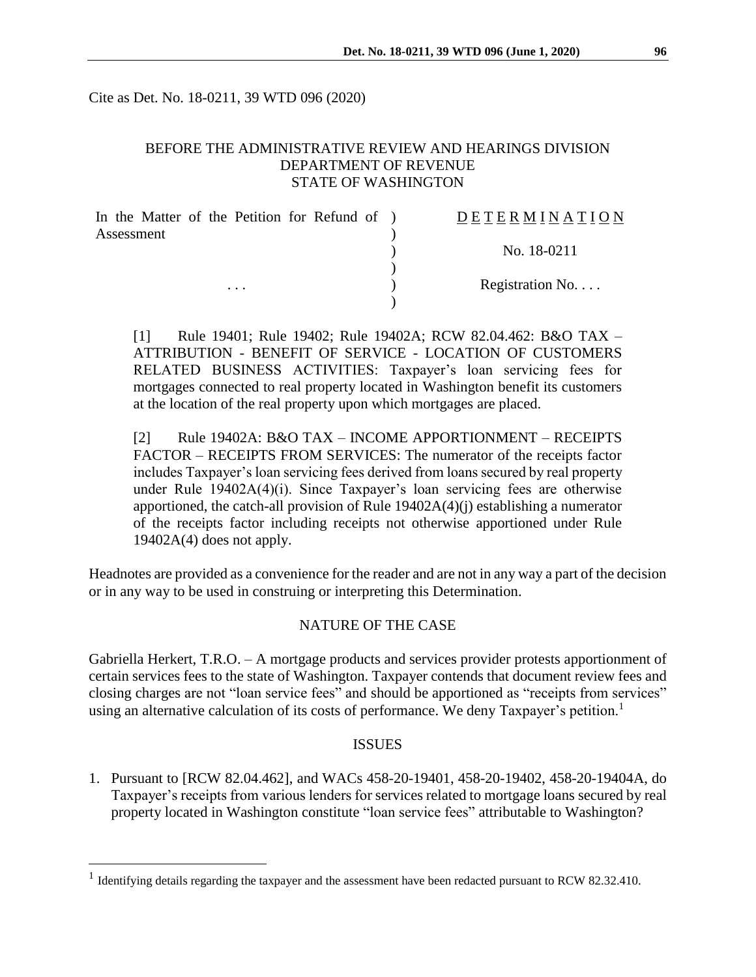Cite as Det. No. 18-0211, 39 WTD 096 (2020)

# BEFORE THE ADMINISTRATIVE REVIEW AND HEARINGS DIVISION DEPARTMENT OF REVENUE STATE OF WASHINGTON

| In the Matter of the Petition for Refund of ) | DETERMINATION            |
|-----------------------------------------------|--------------------------|
| Assessment                                    |                          |
|                                               | No. 18-0211              |
|                                               |                          |
| $\cdots$                                      | Registration No. $\dots$ |
|                                               |                          |

[1] Rule 19401; Rule 19402; Rule 19402A; RCW 82.04.462: B&O TAX – ATTRIBUTION - BENEFIT OF SERVICE - LOCATION OF CUSTOMERS RELATED BUSINESS ACTIVITIES: Taxpayer's loan servicing fees for mortgages connected to real property located in Washington benefit its customers at the location of the real property upon which mortgages are placed.

[2] Rule 19402A: B&O TAX – INCOME APPORTIONMENT – RECEIPTS FACTOR – RECEIPTS FROM SERVICES: The numerator of the receipts factor includes Taxpayer's loan servicing fees derived from loans secured by real property under Rule 19402A(4)(i). Since Taxpayer's loan servicing fees are otherwise apportioned, the catch-all provision of Rule 19402A(4)(j) establishing a numerator of the receipts factor including receipts not otherwise apportioned under Rule  $19402A(4)$  does not apply.

Headnotes are provided as a convenience for the reader and are not in any way a part of the decision or in any way to be used in construing or interpreting this Determination.

## NATURE OF THE CASE

Gabriella Herkert, T.R.O. – A mortgage products and services provider protests apportionment of certain services fees to the state of Washington. Taxpayer contends that document review fees and closing charges are not "loan service fees" and should be apportioned as "receipts from services" using an alternative calculation of its costs of performance. We deny Taxpayer's petition.<sup>1</sup>

#### ISSUES

1. Pursuant to [RCW 82.04.462], and WACs 458-20-19401, 458-20-19402, 458-20-19404A, do Taxpayer's receipts from various lenders for services related to mortgage loans secured by real property located in Washington constitute "loan service fees" attributable to Washington?

 $\overline{a}$ 

<sup>&</sup>lt;sup>1</sup> Identifying details regarding the taxpayer and the assessment have been redacted pursuant to RCW 82.32.410.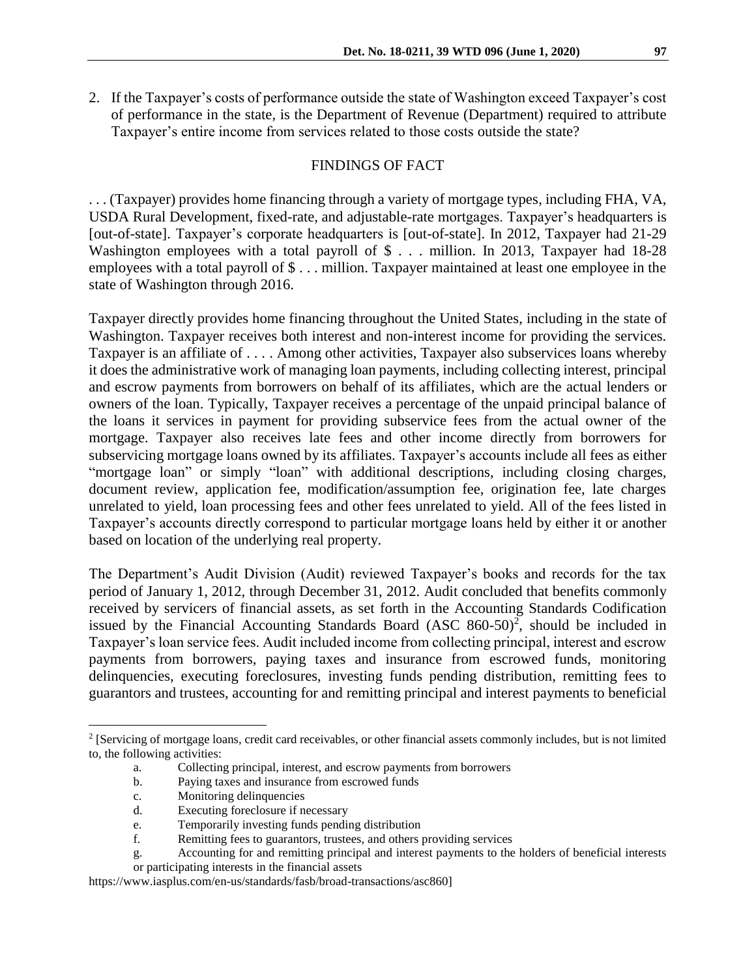2. If the Taxpayer's costs of performance outside the state of Washington exceed Taxpayer's cost of performance in the state, is the Department of Revenue (Department) required to attribute Taxpayer's entire income from services related to those costs outside the state?

### FINDINGS OF FACT

. . . (Taxpayer) provides home financing through a variety of mortgage types, including FHA, VA, USDA Rural Development, fixed-rate, and adjustable-rate mortgages. Taxpayer's headquarters is [out-of-state]. Taxpayer's corporate headquarters is [out-of-state]. In 2012, Taxpayer had 21-29 Washington employees with a total payroll of \$ . . . million. In 2013, Taxpayer had 18-28 employees with a total payroll of \$ . . . million. Taxpayer maintained at least one employee in the state of Washington through 2016.

Taxpayer directly provides home financing throughout the United States, including in the state of Washington. Taxpayer receives both interest and non-interest income for providing the services. Taxpayer is an affiliate of . . . . Among other activities, Taxpayer also subservices loans whereby it does the administrative work of managing loan payments, including collecting interest, principal and escrow payments from borrowers on behalf of its affiliates, which are the actual lenders or owners of the loan. Typically, Taxpayer receives a percentage of the unpaid principal balance of the loans it services in payment for providing subservice fees from the actual owner of the mortgage. Taxpayer also receives late fees and other income directly from borrowers for subservicing mortgage loans owned by its affiliates. Taxpayer's accounts include all fees as either "mortgage loan" or simply "loan" with additional descriptions, including closing charges, document review, application fee, modification/assumption fee, origination fee, late charges unrelated to yield, loan processing fees and other fees unrelated to yield. All of the fees listed in Taxpayer's accounts directly correspond to particular mortgage loans held by either it or another based on location of the underlying real property.

The Department's Audit Division (Audit) reviewed Taxpayer's books and records for the tax period of January 1, 2012, through December 31, 2012. Audit concluded that benefits commonly received by servicers of financial assets, as set forth in the Accounting Standards Codification issued by the Financial Accounting Standards Board (ASC 860-50) 2 , should be included in Taxpayer's loan service fees. Audit included income from collecting principal, interest and escrow payments from borrowers, paying taxes and insurance from escrowed funds, monitoring delinquencies, executing foreclosures, investing funds pending distribution, remitting fees to guarantors and trustees, accounting for and remitting principal and interest payments to beneficial

 $\overline{a}$ 

<sup>&</sup>lt;sup>2</sup> [Servicing of mortgage loans, credit card receivables, or other financial assets commonly includes, but is not limited to, the following activities:

a. Collecting principal, interest, and escrow payments from borrowers

b. Paying taxes and insurance from escrowed funds

c. Monitoring delinquencies

d. Executing foreclosure if necessary

e. Temporarily investing funds pending distribution

f. Remitting fees to guarantors, trustees, and others providing services

g. Accounting for and remitting principal and interest payments to the holders of beneficial interests or participating interests in the financial assets

https://www.iasplus.com/en-us/standards/fasb/broad-transactions/asc860]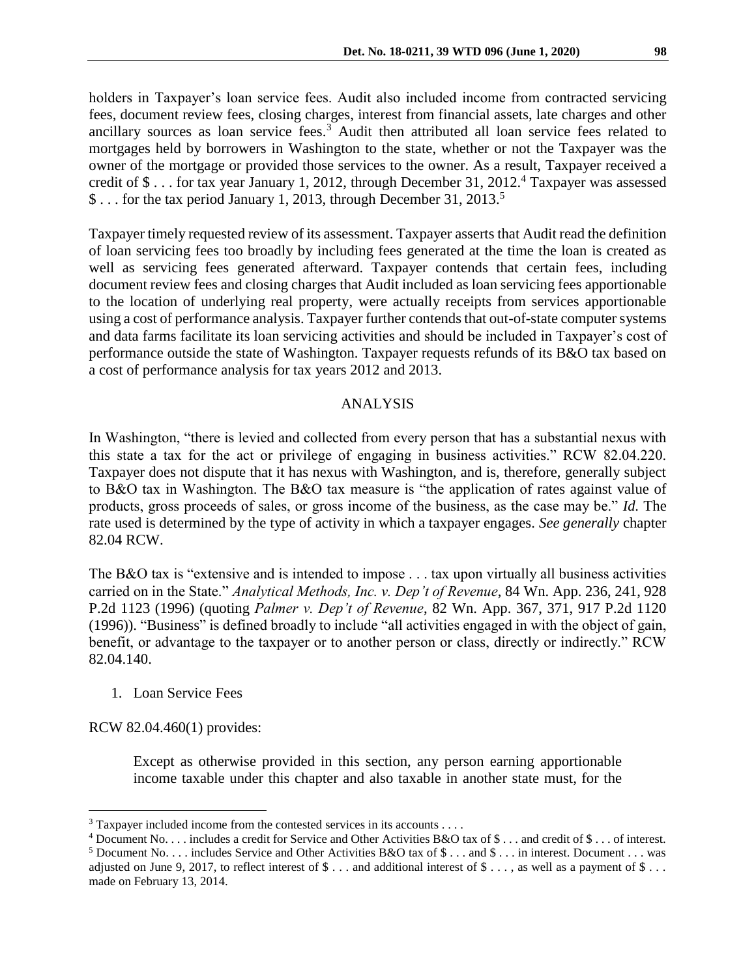holders in Taxpayer's loan service fees. Audit also included income from contracted servicing fees, document review fees, closing charges, interest from financial assets, late charges and other ancillary sources as loan service fees.<sup>3</sup> Audit then attributed all loan service fees related to mortgages held by borrowers in Washington to the state, whether or not the Taxpayer was the owner of the mortgage or provided those services to the owner. As a result, Taxpayer received a credit of \$ . . . for tax year January 1, 2012, through December 31, 2012.<sup>4</sup> Taxpayer was assessed \$... for the tax period January 1, 2013, through December 31, 2013.<sup>5</sup>

Taxpayer timely requested review of its assessment. Taxpayer asserts that Audit read the definition of loan servicing fees too broadly by including fees generated at the time the loan is created as well as servicing fees generated afterward. Taxpayer contends that certain fees, including document review fees and closing charges that Audit included as loan servicing fees apportionable to the location of underlying real property, were actually receipts from services apportionable using a cost of performance analysis. Taxpayer further contends that out-of-state computer systems and data farms facilitate its loan servicing activities and should be included in Taxpayer's cost of performance outside the state of Washington. Taxpayer requests refunds of its B&O tax based on a cost of performance analysis for tax years 2012 and 2013.

### ANALYSIS

In Washington, "there is levied and collected from every person that has a substantial nexus with this state a tax for the act or privilege of engaging in business activities." RCW 82.04.220. Taxpayer does not dispute that it has nexus with Washington, and is, therefore, generally subject to B&O tax in Washington. The B&O tax measure is "the application of rates against value of products, gross proceeds of sales, or gross income of the business, as the case may be." *Id.* The rate used is determined by the type of activity in which a taxpayer engages. *See generally* chapter 82.04 RCW.

The B&O tax is "extensive and is intended to impose . . . tax upon virtually all business activities carried on in the State." *Analytical Methods, Inc. v. Dep't of Revenue*, 84 Wn. App. 236, 241, 928 P.2d 1123 (1996) (quoting *Palmer v. Dep't of Revenue*, 82 Wn. App. 367, 371, 917 P.2d 1120 (1996)). "Business" is defined broadly to include "all activities engaged in with the object of gain, benefit, or advantage to the taxpayer or to another person or class, directly or indirectly." RCW 82.04.140.

1. Loan Service Fees

RCW 82.04.460(1) provides:

 $\overline{a}$ 

Except as otherwise provided in this section, any person earning apportionable income taxable under this chapter and also taxable in another state must, for the

 $3$  Taxpayer included income from the contested services in its accounts . . . .

<sup>4</sup> Document No. . . . includes a credit for Service and Other Activities B&O tax of \$ . . . and credit of \$ . . . of interest.

<sup>5</sup> Document No. . . . includes Service and Other Activities B&O tax of \$ . . . and \$ . . . in interest. Document . . . was adjusted on June 9, 2017, to reflect interest of  $\$\dots$  and additional interest of  $\$\dots$ , as well as a payment of  $\$\dots$ made on February 13, 2014.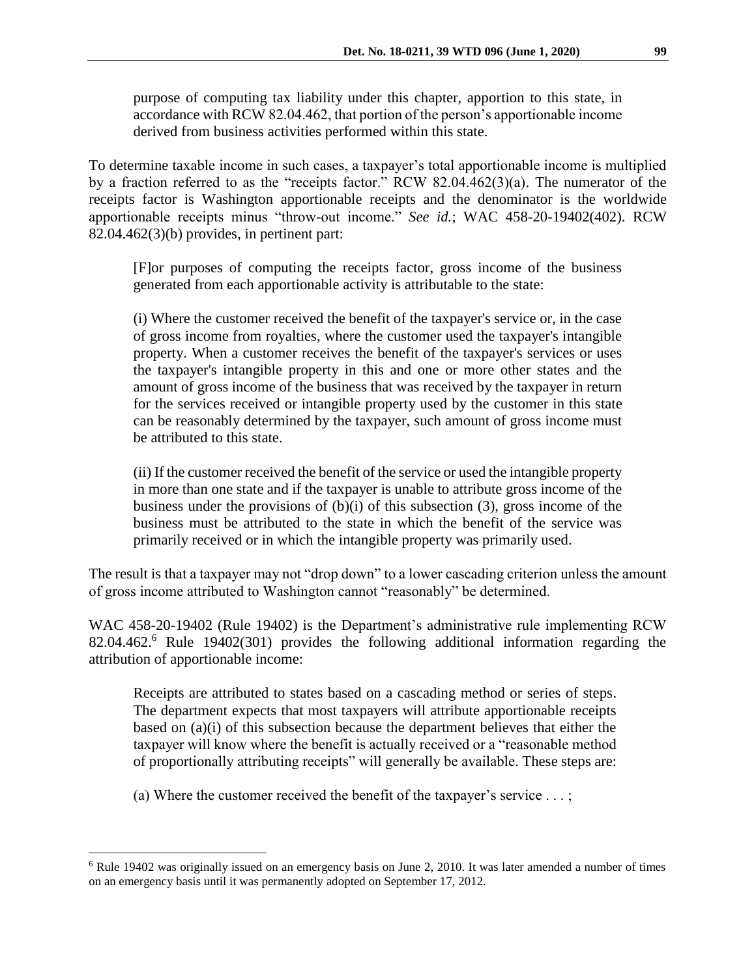purpose of computing tax liability under this chapter, apportion to this state, in accordance with RCW 82.04.462, that portion of the person's apportionable income derived from business activities performed within this state.

To determine taxable income in such cases, a taxpayer's total apportionable income is multiplied by a fraction referred to as the "receipts factor." RCW 82.04.462(3)(a). The numerator of the receipts factor is Washington apportionable receipts and the denominator is the worldwide apportionable receipts minus "throw-out income." *See id.*; WAC 458-20-19402(402). RCW  $82.04.462(3)(b)$  provides, in pertinent part:

[F]or purposes of computing the receipts factor, gross income of the business generated from each apportionable activity is attributable to the state:

(i) Where the customer received the benefit of the taxpayer's service or, in the case of gross income from royalties, where the customer used the taxpayer's intangible property. When a customer receives the benefit of the taxpayer's services or uses the taxpayer's intangible property in this and one or more other states and the amount of gross income of the business that was received by the taxpayer in return for the services received or intangible property used by the customer in this state can be reasonably determined by the taxpayer, such amount of gross income must be attributed to this state.

(ii) If the customer received the benefit of the service or used the intangible property in more than one state and if the taxpayer is unable to attribute gross income of the business under the provisions of  $(b)(i)$  of this subsection (3), gross income of the business must be attributed to the state in which the benefit of the service was primarily received or in which the intangible property was primarily used.

The result is that a taxpayer may not "drop down" to a lower cascading criterion unless the amount of gross income attributed to Washington cannot "reasonably" be determined.

WAC 458-20-19402 (Rule 19402) is the Department's administrative rule implementing RCW 82.04.462.<sup>6</sup> Rule 19402(301) provides the following additional information regarding the attribution of apportionable income:

Receipts are attributed to states based on a cascading method or series of steps. The department expects that most taxpayers will attribute apportionable receipts based on (a)(i) of this subsection because the department believes that either the taxpayer will know where the benefit is actually received or a "reasonable method of proportionally attributing receipts" will generally be available. These steps are:

(a) Where the customer received the benefit of the taxpayer's service  $\dots$ ;

 $\overline{a}$ 

<sup>6</sup> Rule 19402 was originally issued on an emergency basis on June 2, 2010. It was later amended a number of times on an emergency basis until it was permanently adopted on September 17, 2012.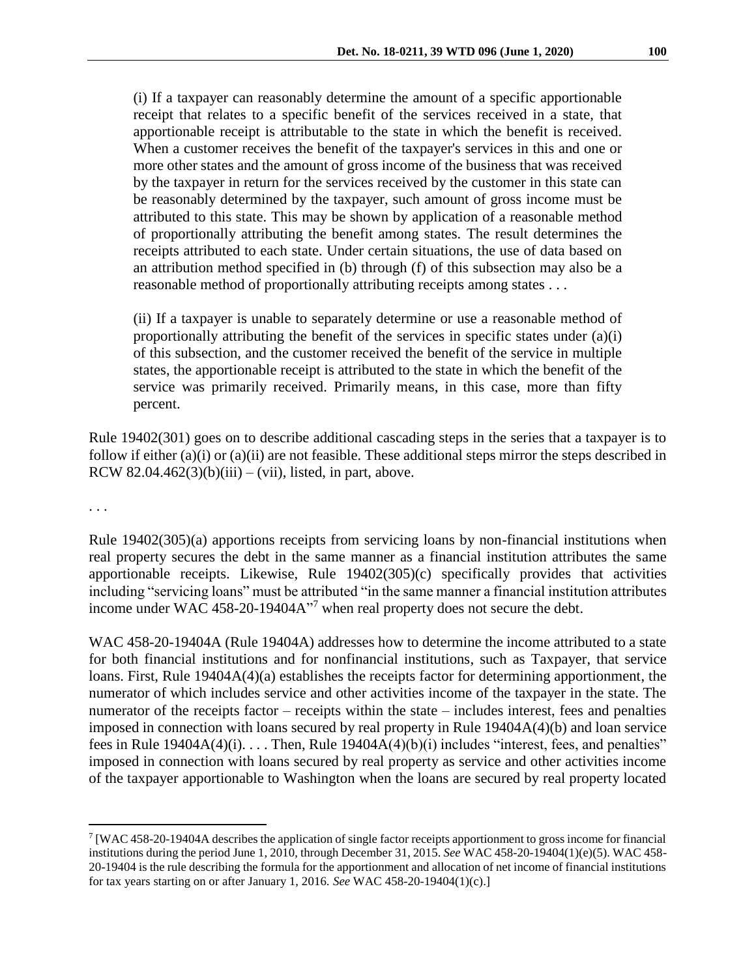(i) If a taxpayer can reasonably determine the amount of a specific apportionable receipt that relates to a specific benefit of the services received in a state, that apportionable receipt is attributable to the state in which the benefit is received. When a customer receives the benefit of the taxpayer's services in this and one or more other states and the amount of gross income of the business that was received by the taxpayer in return for the services received by the customer in this state can be reasonably determined by the taxpayer, such amount of gross income must be attributed to this state. This may be shown by application of a reasonable method of proportionally attributing the benefit among states. The result determines the receipts attributed to each state. Under certain situations, the use of data based on an attribution method specified in (b) through (f) of this subsection may also be a reasonable method of proportionally attributing receipts among states . . .

(ii) If a taxpayer is unable to separately determine or use a reasonable method of proportionally attributing the benefit of the services in specific states under (a)(i) of this subsection, and the customer received the benefit of the service in multiple states, the apportionable receipt is attributed to the state in which the benefit of the service was primarily received. Primarily means, in this case, more than fifty percent.

Rule 19402(301) goes on to describe additional cascading steps in the series that a taxpayer is to follow if either (a)(i) or (a)(ii) are not feasible. These additional steps mirror the steps described in RCW 82.04.462 $(3)(b)(iii) - (vii)$ , listed, in part, above.

. . .

 $\overline{a}$ 

Rule 19402(305)(a) apportions receipts from servicing loans by non-financial institutions when real property secures the debt in the same manner as a financial institution attributes the same apportionable receipts. Likewise, Rule 19402(305)(c) specifically provides that activities including "servicing loans" must be attributed "in the same manner a financial institution attributes income under WAC 458-20-19404A<sup>17</sup> when real property does not secure the debt.

WAC 458-20-19404A (Rule 19404A) addresses how to determine the income attributed to a state for both financial institutions and for nonfinancial institutions, such as Taxpayer, that service loans. First, Rule 19404A(4)(a) establishes the receipts factor for determining apportionment, the numerator of which includes service and other activities income of the taxpayer in the state. The numerator of the receipts factor – receipts within the state – includes interest, fees and penalties imposed in connection with loans secured by real property in Rule 19404A(4)(b) and loan service fees in Rule  $19404A(4)(i)$ ... Then, Rule  $19404A(4)(b)(i)$  includes "interest, fees, and penalties" imposed in connection with loans secured by real property as service and other activities income of the taxpayer apportionable to Washington when the loans are secured by real property located

<sup>&</sup>lt;sup>7</sup> [WAC 458-20-19404A describes the application of single factor receipts apportionment to gross income for financial institutions during the period June 1, 2010, through December 31, 2015. *See* WAC 458-20-19404(1)(e)(5). WAC 458- 20-19404 is the rule describing the formula for the apportionment and allocation of net income of financial institutions for tax years starting on or after January 1, 2016. *See* WAC 458-20-19404(1)(c).]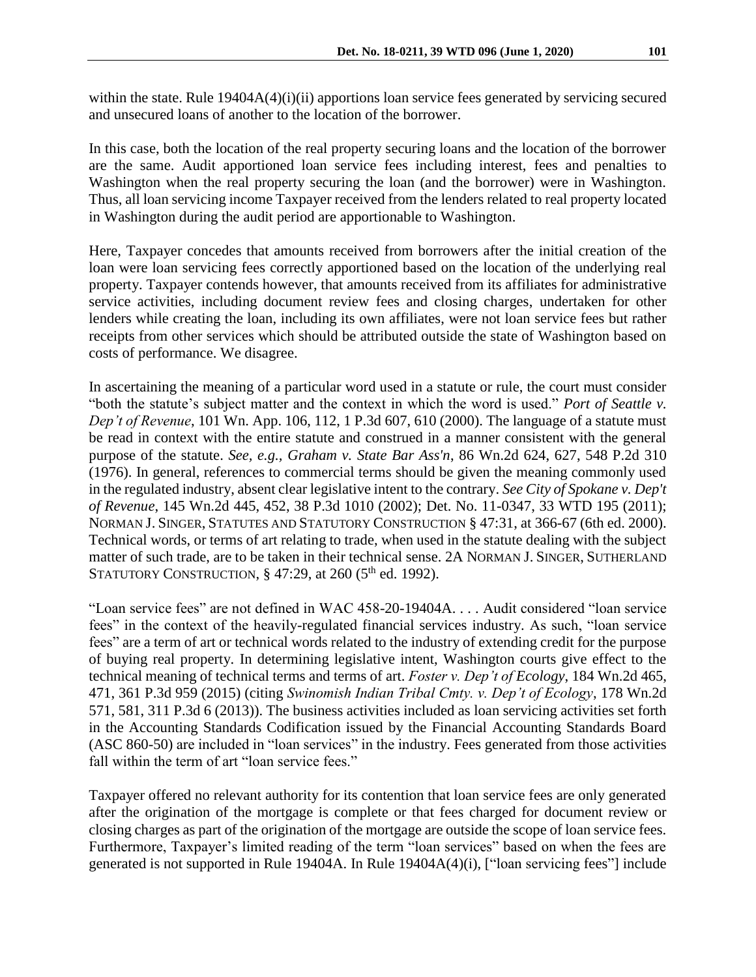within the state. Rule 19404A(4)(i)(ii) apportions loan service fees generated by servicing secured and unsecured loans of another to the location of the borrower.

In this case, both the location of the real property securing loans and the location of the borrower are the same. Audit apportioned loan service fees including interest, fees and penalties to Washington when the real property securing the loan (and the borrower) were in Washington. Thus, all loan servicing income Taxpayer received from the lenders related to real property located in Washington during the audit period are apportionable to Washington.

Here, Taxpayer concedes that amounts received from borrowers after the initial creation of the loan were loan servicing fees correctly apportioned based on the location of the underlying real property. Taxpayer contends however, that amounts received from its affiliates for administrative service activities, including document review fees and closing charges, undertaken for other lenders while creating the loan, including its own affiliates, were not loan service fees but rather receipts from other services which should be attributed outside the state of Washington based on costs of performance. We disagree.

In ascertaining the meaning of a particular word used in a statute or rule, the court must consider "both the statute's subject matter and the context in which the word is used." *Port of Seattle v. Dep't of Revenue*, 101 Wn. App. 106, 112, 1 P.3d 607, 610 (2000). The language of a statute must be read in context with the entire statute and construed in a manner consistent with the general purpose of the statute. *See, e.g., Graham v. State Bar Ass'n*, 86 Wn.2d 624, 627, 548 P.2d 310 (1976). In general, references to commercial terms should be given the meaning commonly used in the regulated industry, absent clear legislative intent to the contrary. *See City of Spokane v. Dep't of Revenue*, 145 Wn.2d 445, 452, 38 P.3d 1010 (2002); Det. No. 11-0347, 33 WTD 195 (2011); NORMAN J. SINGER, STATUTES AND STATUTORY CONSTRUCTION § 47:31, at 366-67 (6th ed. 2000). Technical words, or terms of art relating to trade, when used in the statute dealing with the subject matter of such trade, are to be taken in their technical sense. 2A NORMAN J. SINGER, SUTHERLAND STATUTORY CONSTRUCTION,  $\S$  47:29, at 260 (5<sup>th</sup> ed. 1992).

"Loan service fees" are not defined in WAC 458-20-19404A. . . . Audit considered "loan service fees" in the context of the heavily-regulated financial services industry. As such, "loan service fees" are a term of art or technical words related to the industry of extending credit for the purpose of buying real property. In determining legislative intent, Washington courts give effect to the technical meaning of technical terms and terms of art. *Foster v. Dep't of Ecology*, 184 Wn.2d 465, 471, 361 P.3d 959 (2015) (citing *Swinomish Indian Tribal Cmty. v. Dep't of Ecology*, 178 Wn.2d 571, 581, 311 P.3d 6 (2013)). The business activities included as loan servicing activities set forth in the Accounting Standards Codification issued by the Financial Accounting Standards Board (ASC 860-50) are included in "loan services" in the industry. Fees generated from those activities fall within the term of art "loan service fees."

Taxpayer offered no relevant authority for its contention that loan service fees are only generated after the origination of the mortgage is complete or that fees charged for document review or closing charges as part of the origination of the mortgage are outside the scope of loan service fees. Furthermore, Taxpayer's limited reading of the term "loan services" based on when the fees are generated is not supported in Rule 19404A. In Rule 19404A(4)(i), ["loan servicing fees"] include